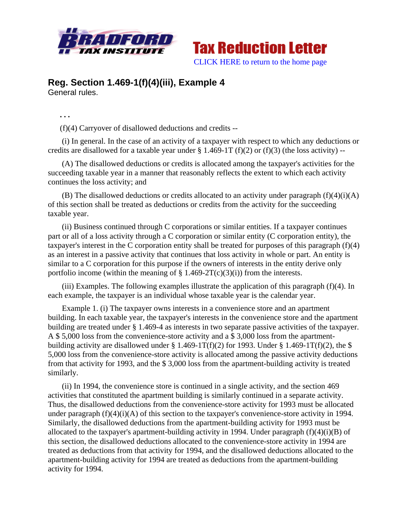



## **Reg. Section 1.469-1(f)(4)(iii), Example 4**  General rules.

**. . .** 

(f)(4) Carryover of disallowed deductions and credits --

 (i) In general. In the case of an activity of a taxpayer with respect to which any deductions or credits are disallowed for a taxable year under  $\S 1.469-1T (f)(2)$  or  $(f)(3)$  (the loss activity) --

 (A) The disallowed deductions or credits is allocated among the taxpayer's activities for the succeeding taxable year in a manner that reasonably reflects the extent to which each activity continues the loss activity; and

(B) The disallowed deductions or credits allocated to an activity under paragraph  $(f)(4)(i)(A)$ of this section shall be treated as deductions or credits from the activity for the succeeding taxable year.

 (ii) Business continued through C corporations or similar entities. If a taxpayer continues part or all of a loss activity through a C corporation or similar entity (C corporation entity), the taxpayer's interest in the C corporation entity shall be treated for purposes of this paragraph (f)(4) as an interest in a passive activity that continues that loss activity in whole or part. An entity is similar to a C corporation for this purpose if the owners of interests in the entity derive only portfolio income (within the meaning of  $\S$  1.469-2T(c)(3)(i)) from the interests.

 (iii) Examples. The following examples illustrate the application of this paragraph (f)(4). In each example, the taxpayer is an individual whose taxable year is the calendar year.

 Example 1. (i) The taxpayer owns interests in a convenience store and an apartment building. In each taxable year, the taxpayer's interests in the convenience store and the apartment building are treated under § 1.469-4 as interests in two separate passive activities of the taxpayer. A \$ 5,000 loss from the convenience-store activity and a \$ 3,000 loss from the apartmentbuilding activity are disallowed under  $\S 1.469-1T(f)(2)$  for 1993. Under  $\S 1.469-1T(f)(2)$ , the  $\S$ 5,000 loss from the convenience-store activity is allocated among the passive activity deductions from that activity for 1993, and the \$ 3,000 loss from the apartment-building activity is treated similarly.

 (ii) In 1994, the convenience store is continued in a single activity, and the section 469 activities that constituted the apartment building is similarly continued in a separate activity. Thus, the disallowed deductions from the convenience-store activity for 1993 must be allocated under paragraph (f)(4)(i)(A) of this section to the taxpayer's convenience-store activity in 1994. Similarly, the disallowed deductions from the apartment-building activity for 1993 must be allocated to the taxpayer's apartment-building activity in 1994. Under paragraph  $(f)(4)(i)(B)$  of this section, the disallowed deductions allocated to the convenience-store activity in 1994 are treated as deductions from that activity for 1994, and the disallowed deductions allocated to the apartment-building activity for 1994 are treated as deductions from the apartment-building activity for 1994.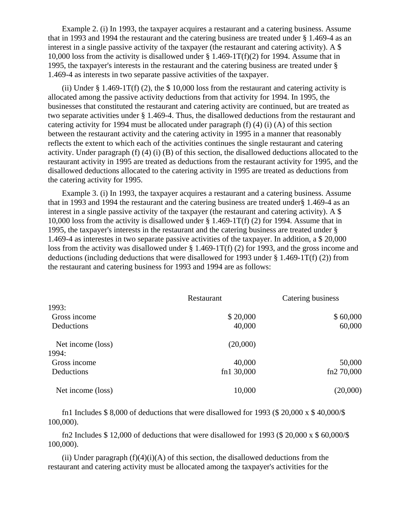Example 2. (i) In 1993, the taxpayer acquires a restaurant and a catering business. Assume that in 1993 and 1994 the restaurant and the catering business are treated under § 1.469-4 as an interest in a single passive activity of the taxpayer (the restaurant and catering activity). A \$ 10,000 loss from the activity is disallowed under  $\S 1.469-1T(f)(2)$  for 1994. Assume that in 1995, the taxpayer's interests in the restaurant and the catering business are treated under § 1.469-4 as interests in two separate passive activities of the taxpayer.

(ii) Under  $\S 1.469-1T(f)$  (2), the  $\S 10,000$  loss from the restaurant and catering activity is allocated among the passive activity deductions from that activity for 1994. In 1995, the businesses that constituted the restaurant and catering activity are continued, but are treated as two separate activities under § 1.469-4. Thus, the disallowed deductions from the restaurant and catering activity for 1994 must be allocated under paragraph (f) (4) (i) (A) of this section between the restaurant activity and the catering activity in 1995 in a manner that reasonably reflects the extent to which each of the activities continues the single restaurant and catering activity. Under paragraph (f) (4) (i) (B) of this section, the disallowed deductions allocated to the restaurant activity in 1995 are treated as deductions from the restaurant activity for 1995, and the disallowed deductions allocated to the catering activity in 1995 are treated as deductions from the catering activity for 1995.

 Example 3. (i) In 1993, the taxpayer acquires a restaurant and a catering business. Assume that in 1993 and 1994 the restaurant and the catering business are treated under§ 1.469-4 as an interest in a single passive activity of the taxpayer (the restaurant and catering activity). A \$ 10,000 loss from the activity is disallowed under § 1.469-1T(f) (2) for 1994. Assume that in 1995, the taxpayer's interests in the restaurant and the catering business are treated under § 1.469-4 as interestes in two separate passive activities of the taxpayer. In addition, a \$ 20,000 loss from the activity was disallowed under § 1.469-1T(f) (2) for 1993, and the gross income and deductions (including deductions that were disallowed for 1993 under  $\S 1.469-1T(f)(2)$ ) from the restaurant and catering business for 1993 and 1994 are as follows:

|                   | Restaurant   | Catering business |
|-------------------|--------------|-------------------|
| 1993:             |              |                   |
| Gross income      | \$20,000     | \$60,000          |
| Deductions        | 40,000       | 60,000            |
| Net income (loss) | (20,000)     |                   |
| 1994:             |              |                   |
| Gross income      | 40,000       | 50,000            |
| Deductions        | fn1 $30,000$ | fn2 70,000        |
| Net income (loss) | 10,000       | (20,000)          |

fn1 Includes  $$8,000$  of deductions that were disallowed for 1993 ( $$20,000 \times $40,000 \times $$ 100,000).

 fn2 Includes \$ 12,000 of deductions that were disallowed for 1993 (\$ 20,000 x \$ 60,000/\$ 100,000).

(ii) Under paragraph  $(f)(4)(i)(A)$  of this section, the disallowed deductions from the restaurant and catering activity must be allocated among the taxpayer's activities for the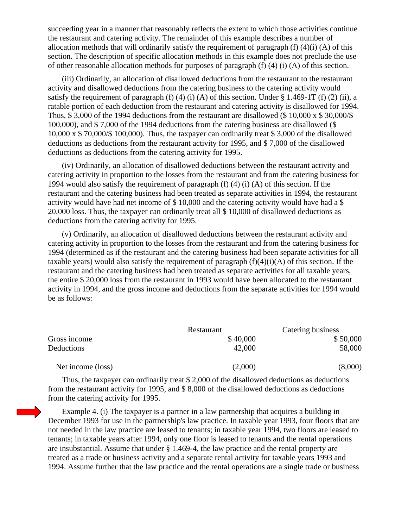succeeding year in a manner that reasonably reflects the extent to which those activities continue the restaurant and catering activity. The remainder of this example describes a number of allocation methods that will ordinarily satisfy the requirement of paragraph (f) (4)(i) (A) of this section. The description of specific allocation methods in this example does not preclude the use of other reasonable allocation methods for purposes of paragraph (f) (4) (i) (A) of this section.

 (iii) Ordinarily, an allocation of disallowed deductions from the restaurant to the restaurant activity and disallowed deductions from the catering business to the catering activity would satisfy the requirement of paragraph (f) (4) (i) (A) of this section. Under  $\S 1.469-1T$  (f) (2) (ii), a ratable portion of each deduction from the restaurant and catering activity is disallowed for 1994. Thus, \$ 3,000 of the 1994 deductions from the restaurant are disallowed (\$ 10,000 x \$ 30,000/\$ 100,000), and \$ 7,000 of the 1994 deductions from the catering business are disallowed (\$ 10,000 x \$ 70,000/\$ 100,000). Thus, the taxpayer can ordinarily treat \$ 3,000 of the disallowed deductions as deductions from the restaurant activity for 1995, and \$ 7,000 of the disallowed deductions as deductions from the catering activity for 1995.

 (iv) Ordinarily, an allocation of disallowed deductions between the restaurant activity and catering activity in proportion to the losses from the restaurant and from the catering business for 1994 would also satisfy the requirement of paragraph (f) (4) (i) (A) of this section. If the restaurant and the catering business had been treated as separate activities in 1994, the restaurant activity would have had net income of \$ 10,000 and the catering activity would have had a \$ 20,000 loss. Thus, the taxpayer can ordinarily treat all \$ 10,000 of disallowed deductions as deductions from the catering activity for 1995.

 (v) Ordinarily, an allocation of disallowed deductions between the restaurant activity and catering activity in proportion to the losses from the restaurant and from the catering business for 1994 (determined as if the restaurant and the catering business had been separate activities for all taxable years) would also satisfy the requirement of paragraph  $(f)(4)(i)(A)$  of this section. If the restaurant and the catering business had been treated as separate activities for all taxable years, the entire \$ 20,000 loss from the restaurant in 1993 would have been allocated to the restaurant activity in 1994, and the gross income and deductions from the separate activities for 1994 would be as follows:

|                   | Restaurant | Catering business |
|-------------------|------------|-------------------|
| Gross income      | \$40,000   | \$50,000          |
| Deductions        | 42,000     | 58,000            |
| Net income (loss) | (2,000)    | (8,000)           |

 Thus, the taxpayer can ordinarily treat \$ 2,000 of the disallowed deductions as deductions from the restaurant activity for 1995, and \$ 8,000 of the disallowed deductions as deductions from the catering activity for 1995.

 Example 4. (i) The taxpayer is a partner in a law partnership that acquires a building in December 1993 for use in the partnership's law practice. In taxable year 1993, four floors that are not needed in the law practice are leased to tenants; in taxable year 1994, two floors are leased to tenants; in taxable years after 1994, only one floor is leased to tenants and the rental operations are insubstantial. Assume that under § 1.469-4, the law practice and the rental property are treated as a trade or business activity and a separate rental activity for taxable years 1993 and 1994. Assume further that the law practice and the rental operations are a single trade or business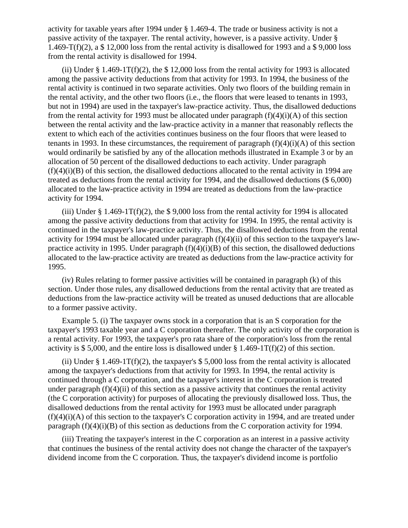activity for taxable years after 1994 under § 1.469-4. The trade or business activity is not a passive activity of the taxpayer. The rental activity, however, is a passive activity. Under § 1.469-T(f)(2), a \$ 12,000 loss from the rental activity is disallowed for 1993 and a \$ 9,000 loss from the rental activity is disallowed for 1994.

(ii) Under  $\S 1.469-1T(f)(2)$ , the  $\S 12,000$  loss from the rental activity for 1993 is allocated among the passive activity deductions from that activity for 1993. In 1994, the business of the rental activity is continued in two separate activities. Only two floors of the building remain in the rental activity, and the other two floors (i.e., the floors that were leased to tenants in 1993, but not in 1994) are used in the taxpayer's law-practice activity. Thus, the disallowed deductions from the rental activity for 1993 must be allocated under paragraph  $(f)(4)(i)(A)$  of this section between the rental activity and the law-practice activity in a manner that reasonably reflects the extent to which each of the activities continues business on the four floors that were leased to tenants in 1993. In these circumstances, the requirement of paragraph  $(f)(4)(i)(A)$  of this section would ordinarily be satisfied by any of the allocation methods illustrated in Example 3 or by an allocation of 50 percent of the disallowed deductions to each activity. Under paragraph  $(f)(4)(i)(B)$  of this section, the disallowed deductions allocated to the rental activity in 1994 are treated as deductions from the rental activity for 1994, and the disallowed deductions (\$ 6,000) allocated to the law-practice activity in 1994 are treated as deductions from the law-practice activity for 1994.

(iii) Under  $\S 1.469-1T(f)(2)$ , the  $\S 9,000$  loss from the rental activity for 1994 is allocated among the passive activity deductions from that activity for 1994. In 1995, the rental activity is continued in the taxpayer's law-practice activity. Thus, the disallowed deductions from the rental activity for 1994 must be allocated under paragraph (f)(4)(ii) of this section to the taxpayer's lawpractice activity in 1995. Under paragraph  $(f)(4)(i)(B)$  of this section, the disallowed deductions allocated to the law-practice activity are treated as deductions from the law-practice activity for 1995.

 (iv) Rules relating to former passive activities will be contained in paragraph (k) of this section. Under those rules, any disallowed deductions from the rental activity that are treated as deductions from the law-practice activity will be treated as unused deductions that are allocable to a former passive activity.

 Example 5. (i) The taxpayer owns stock in a corporation that is an S corporation for the taxpayer's 1993 taxable year and a C coporation thereafter. The only activity of the corporation is a rental activity. For 1993, the taxpayer's pro rata share of the corporation's loss from the rental activity is \$ 5,000, and the entire loss is disallowed under  $\S 1.469-1T(f)(2)$  of this section.

(ii) Under § 1.469-1T(f)(2), the taxpayer's  $$ 5,000$  loss from the rental activity is allocated among the taxpayer's deductions from that activity for 1993. In 1994, the rental activity is continued through a C corporation, and the taxpayer's interest in the C corporation is treated under paragraph  $(f)(4)(ii)$  of this section as a passive activity that continues the rental activity (the C corporation activity) for purposes of allocating the previously disallowed loss. Thus, the disallowed deductions from the rental activity for 1993 must be allocated under paragraph  $(f)(4)(i)(A)$  of this section to the taxpayer's C corporation activity in 1994, and are treated under paragraph (f)(4)(i)(B) of this section as deductions from the C corporation activity for 1994.

 (iii) Treating the taxpayer's interest in the C corporation as an interest in a passive activity that continues the business of the rental activity does not change the character of the taxpayer's dividend income from the C corporation. Thus, the taxpayer's dividend income is portfolio